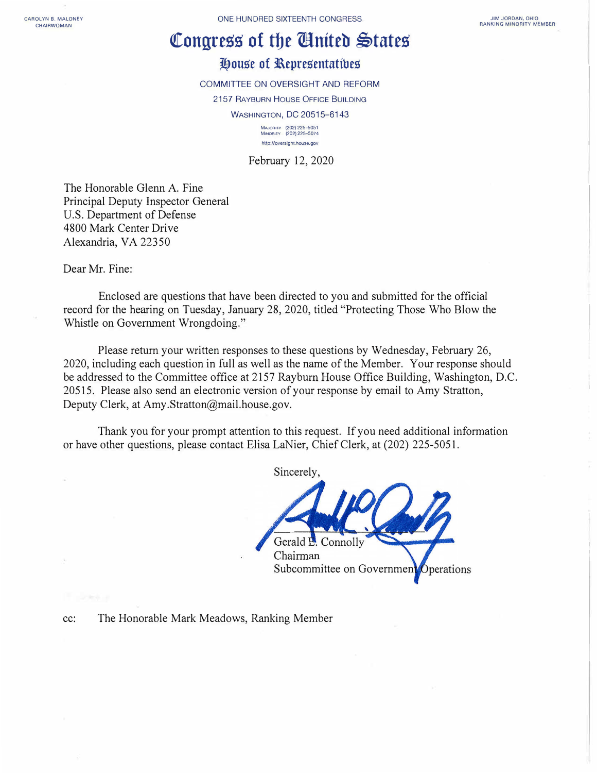**CAROLYN 8. MALONEY CHAIRWOMAN** 

ONE HUNDRED SIXTEENTH CONGRESS

## Congress of the **Chatter States**

## **House of Representatibes**

COMMITTEE ON OVERSIGHT AND REFORM 2157 RAYBURN HOUSE OFFICE BUILDING WASHINGTON, DC 20515-6143 **MAJORITY (202) 225-5051 MINORITY (202) 225--5074**  http://oversight.house.gov

February 12, 2020

The Honorable Glenn A. Fine Principal Deputy Inspector General U.S. Department of Defense 4800 Mark Center Drive Alexandria, VA 22350

Dear Mr. Fine:

Enclosed are questions that have been directed to you and submitted for the official record for the hearing on Tuesday, January 28, 2020, titled "Protecting Those Who Blow the Whistle on Government Wrongdoing."

Please return your written responses to these questions by Wednesday, February 26, 2020, including each question in full as well as the name of the Member. Your response should be addressed to the Committee office at 2157 Rayburn House Office Building, Washington, D.C. 20515. Please also send an electronic version of your response by email to Amy Stratton, Deputy Clerk, at Amy.Stratton@mail.house.gov.

Thank you for your prompt attention to this request. If you need additional information or have other questions, please contact Elisa LaNier, Chief Clerk, at (202) 225-5051.

Sincerely, Gerald P. Connolly Chairman Subcommittee on Governmen Operations

cc: The Honorable Mark Meadows, Ranking Member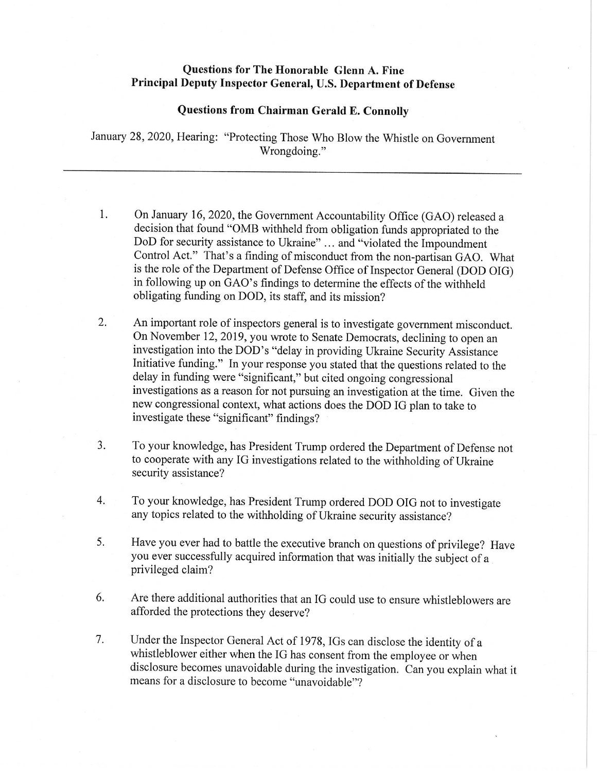## **Questions for The Honorable Glenn A. Fine** Principal Deputy Inspector General, U.S. Department of Defense

## **Questions from Chairman Gerald E. Connolly**

January 28, 2020, Hearing: "Protecting Those Who Blow the Whistle on Government Wrongdoing."

- 1. On January 16, 2020, the Government Accountability Office (GAO) released a decision that found "OMB withheld from obligation funds appropriated to the DoD for security assistance to Ukraine" ... and "violated the Impoundment" Control Act." That's a finding of misconduct from the non-partisan GAO. What is the role of the Department of Defense Office of Inspector General (DOD OIG) in following up on GAO's findings to determine the effects of the withheld obligating funding on DOD, its staff, and its mission?
- 2. An important role of inspectors general is to investigate government misconduct. On November 12, 2019, you wrote to Senate Democrats, declining to open an investigation into the DOD's "delay in providing Ukraine Security Assistance Initiative funding." In your response you stated that the questions related to the delay in funding were "significant," but cited ongoing congressional investigations as a reason for not pursuing an investigation at the time. Given the new congressional context, what actions does the DOD IG plan to take to investigate these "significant" findings?
- To your knowledge, has President Trump ordered the Department of Defense not 3. to cooperate with any IG investigations related to the withholding of Ukraine security assistance?
- $4.$ To your knowledge, has President Trump ordered DOD OIG not to investigate any topics related to the withholding of Ukraine security assistance?
- 5. Have you ever had to battle the executive branch on questions of privilege? Have you ever successfully acquired information that was initially the subject of a privileged claim?
- 6. Are there additional authorities that an IG could use to ensure whistleblowers are afforded the protections they deserve?
- 7. Under the Inspector General Act of 1978, IGs can disclose the identity of a whistleblower either when the IG has consent from the employee or when disclosure becomes unavoidable during the investigation. Can you explain what it means for a disclosure to become "unavoidable"?